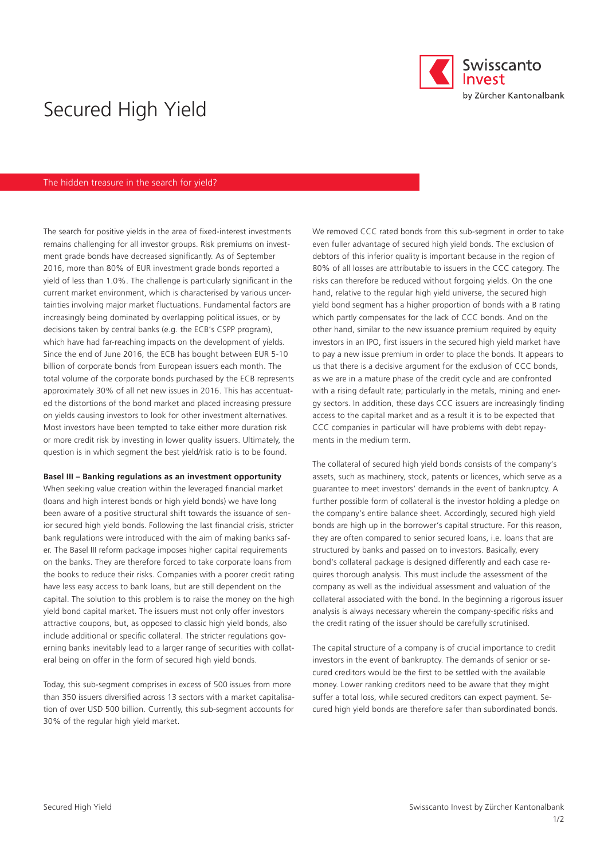



## The hidden treasure in the search for yield?

The search for positive yields in the area of fixed-interest investments remains challenging for all investor groups. Risk premiums on investment grade bonds have decreased significantly. As of September 2016, more than 80% of EUR investment grade bonds reported a yield of less than 1.0%. The challenge is particularly significant in the current market environment, which is characterised by various uncertainties involving major market fluctuations. Fundamental factors are increasingly being dominated by overlapping political issues, or by decisions taken by central banks (e.g. the ECB's CSPP program), which have had far-reaching impacts on the development of yields. Since the end of June 2016, the ECB has bought between EUR 5-10 billion of corporate bonds from European issuers each month. The total volume of the corporate bonds purchased by the ECB represents approximately 30% of all net new issues in 2016. This has accentuated the distortions of the bond market and placed increasing pressure on yields causing investors to look for other investment alternatives. Most investors have been tempted to take either more duration risk or more credit risk by investing in lower quality issuers. Ultimately, the question is in which segment the best yield/risk ratio is to be found.

#### **Basel III – Banking regulations as an investment opportunity**

When seeking value creation within the leveraged financial market (loans and high interest bonds or high yield bonds) we have long been aware of a positive structural shift towards the issuance of senior secured high yield bonds. Following the last financial crisis, stricter bank regulations were introduced with the aim of making banks safer. The Basel III reform package imposes higher capital requirements on the banks. They are therefore forced to take corporate loans from the books to reduce their risks. Companies with a poorer credit rating have less easy access to bank loans, but are still dependent on the capital. The solution to this problem is to raise the money on the high yield bond capital market. The issuers must not only offer investors attractive coupons, but, as opposed to classic high yield bonds, also include additional or specific collateral. The stricter regulations governing banks inevitably lead to a larger range of securities with collateral being on offer in the form of secured high yield bonds.

Today, this sub-segment comprises in excess of 500 issues from more than 350 issuers diversified across 13 sectors with a market capitalisation of over USD 500 billion. Currently, this sub-segment accounts for 30% of the regular high yield market.

We removed CCC rated bonds from this sub-segment in order to take even fuller advantage of secured high yield bonds. The exclusion of debtors of this inferior quality is important because in the region of 80% of all losses are attributable to issuers in the CCC category. The risks can therefore be reduced without forgoing yields. On the one hand, relative to the regular high yield universe, the secured high yield bond segment has a higher proportion of bonds with a B rating which partly compensates for the lack of CCC bonds. And on the other hand, similar to the new issuance premium required by equity investors in an IPO, first issuers in the secured high yield market have to pay a new issue premium in order to place the bonds. It appears to us that there is a decisive argument for the exclusion of CCC bonds, as we are in a mature phase of the credit cycle and are confronted with a rising default rate; particularly in the metals, mining and energy sectors. In addition, these days CCC issuers are increasingly finding access to the capital market and as a result it is to be expected that CCC companies in particular will have problems with debt repayments in the medium term.

The collateral of secured high yield bonds consists of the company's assets, such as machinery, stock, patents or licences, which serve as a guarantee to meet investors' demands in the event of bankruptcy. A further possible form of collateral is the investor holding a pledge on the company's entire balance sheet. Accordingly, secured high yield bonds are high up in the borrower's capital structure. For this reason, they are often compared to senior secured loans, i.e. loans that are structured by banks and passed on to investors. Basically, every bond's collateral package is designed differently and each case requires thorough analysis. This must include the assessment of the company as well as the individual assessment and valuation of the collateral associated with the bond. In the beginning a rigorous issuer analysis is always necessary wherein the company-specific risks and the credit rating of the issuer should be carefully scrutinised.

The capital structure of a company is of crucial importance to credit investors in the event of bankruptcy. The demands of senior or secured creditors would be the first to be settled with the available money. Lower ranking creditors need to be aware that they might suffer a total loss, while secured creditors can expect payment. Secured high yield bonds are therefore safer than subordinated bonds.